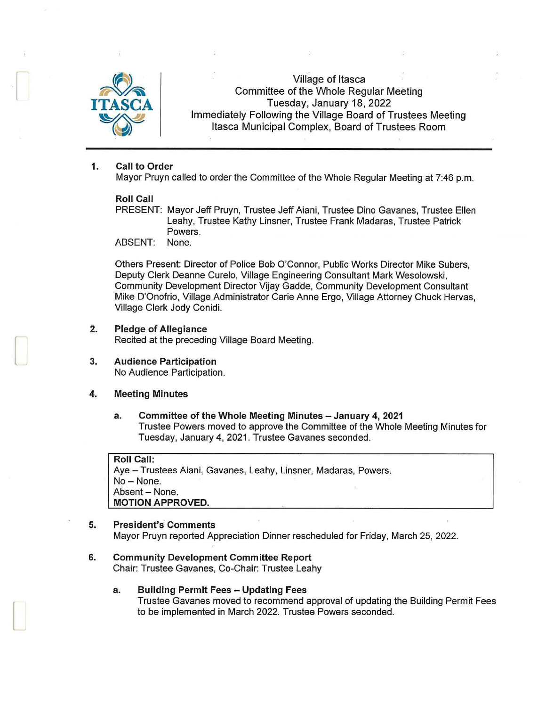

I

[

L

Village of Itasca Committee of the Whole Regular Meeting Tuesday, January 18, 2022 Immediately Following the Village Board of Trustees Meeting Itasca Municipal Complex, Board of Trustees Room

# 1. Call to Order

Mayor Pruyn called to order the Committee of the Whole Regular Meeting at 7:46 p.m.

# Roll Call

PRESENT: Mayor Jeff Pruyn, Trustee Jeff Aiani, Trustee Dino Gavanes, Trustee Ellen Leahy, Trustee Kathy Linsner, Trustee Frank Madaras, Trustee Patrick Powers.

ABSENT: None.

Others Present: Director of Police Bob O'Connor, Public Works Director Mike Subers, Deputy Clerk Deanne Curelo, Village Engineering Consultant Mark Wesolowski, Community Development Director Vijay Gadde, Community Development Consultant Mike D'Onofrio, Village Administrator Carie Anne Ergo, Village Attorney Chuck Hervas, Village Clerk Jody Conidi.

2. Pledge of Allegiance

Recited at the preceding Village Board Meeting.

3. Audience Participation No Audience Participation.

# 4. Meeting Minutes

# a. Committee of the Whole Meeting Minutes - January 4, 2021 Trustee Powers moved to approve the Committee of the Whole Meeting Minutes for Tuesday, January 4, 2021. Trustee Gavanes seconded.

Roll Call: Aye - Trustees Aiani, Gavanes, Leahy, Linsner, Madaras, Powers. No-None. Absent - None. MOTION APPROVED.

# 5. President's Comments

Mayor Pruyn reported Appreciation Dinner rescheduled for Friday, March 25, 2022.

6. Community Development Committee Report Chair: Trustee Gavanes, Co-Chair: Trustee Leahy

### a. Building Permit Fees - Updating Fees

Trustee Gavanes moved to recommend approval of updating the Building Permit Fees to be implemented in March 2022. Trustee Powers seconded.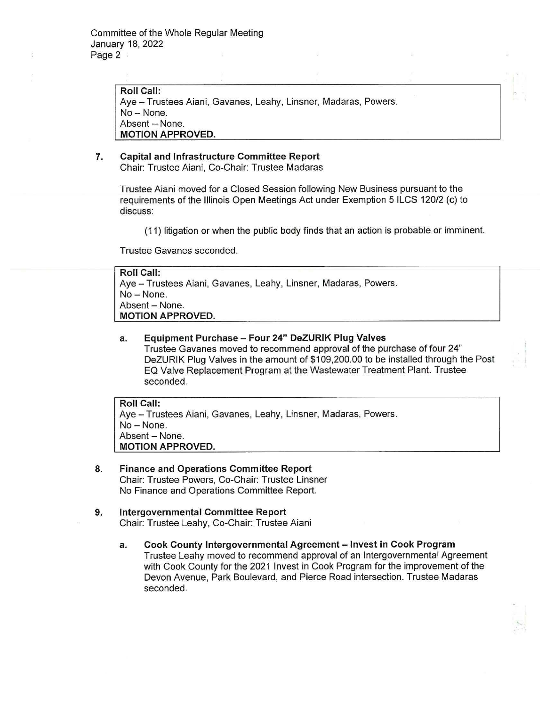**Roll Call:**  Aye - Trustees Aiani, Gavanes, Leahy, Linsner, Madaras, Powers. No- None. Absent - None. **MOTION APPROVED.** 

# **7. Capital and Infrastructure Committee Report**  Chair: Trustee Aiani, Co-Chair: Trustee Madaras

Trustee Aiani moved for a Closed Session following New Business pursuant to the requirements of the Illinois Open Meetings Act under Exemption 5 ILCS 120/2 (c) to discuss:

(11) litigation or when the public body finds that an action is probable or imminent.

Trustee Gavanes seconded.

| <b>Roll Call:</b>                                               |
|-----------------------------------------------------------------|
| Aye - Trustees Aiani, Gavanes, Leahy, Linsner, Madaras, Powers. |
| No – None.                                                      |
| Absent - None.                                                  |
| <b>MOTION APPROVED.</b>                                         |

**a. Equipment Purchase - Four 24" DeZURIK Plug Valves**  Trustee Gavanes moved to recommend approval of the purchase of four 24" DeZURIK Plug Valves in the amount of \$109,200.00 to be installed through the Post EQ Valve Replacement Program at the Wastewater Treatment Plant. Trustee seconded.

**Roll Call:**  Aye - Trustees Aiani, Gavanes, Leahy, Linsner, Madaras, Powers.  $No - None$ . Absent - None. **MOTION APPROVED.** 

- **8. Finance and Operations Committee Report**  Chair: Trustee Powers, Co-Chair: Trustee Linsner No Finance and Operations Committee Report.
- **9. Intergovernmental Committee Report**  Chair: Trustee Leahy, Co-Chair: Trustee Aiani
	- **a. Cook County Intergovernmental Agreement - Invest in Cook Program**  Trustee Leahy moved to recommend approval of an Intergovernmental Agreement with Cook County for the 2021 Invest in Cook Program for the improvement of the Devon Avenue, Park Boulevard, and Pierce Road intersection. Trustee Madaras seconded.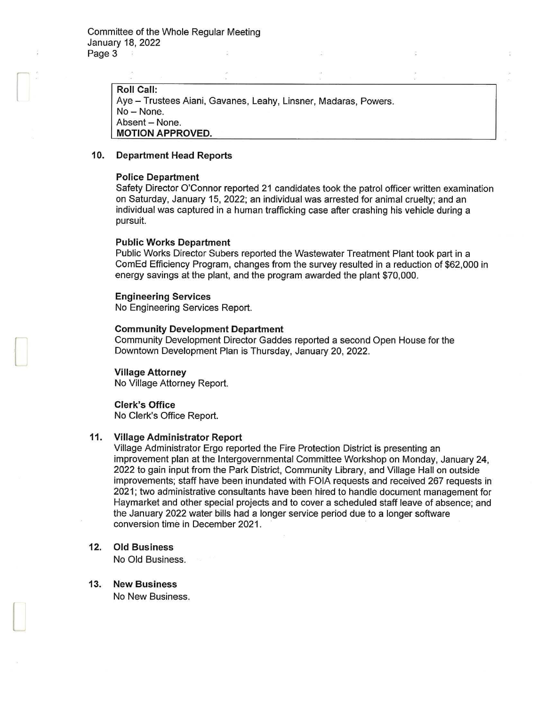Roll Call: Ave - Trustees Aiani, Gavanes, Leahy, Linsner, Madaras, Powers. No-None. Absent - None. MOTION APPROVED.

#### 10. Department Head Reports

### Police Department

Safety Director O'Connor reported 21 candidates took the patrol officer written examination on Saturday, January 15, 2022; an individual was arrested for animal cruelty; and an individual was captured in a human trafficking case after crashing his vehicle during a pursuit.

### Public Works Department

Public Works Director Subers reported the Wastewater Treatment Plant took part in a ComEd Efficiency Program, changes from the survey resulted in a reduction of \$62,000 in energy savings at the plant, and the program awarded the plant \$70,000.

# Engineering Services

No Engineering Services Report.

# Community Development Department

Community Development Director Gaddes reported a second Open House for the Downtown Development Plan is Thursday, January 20, 2022.

#### Village Attorney

l

 $\Box$ 

No Village Attorney Report.

# Clerk's Office No Clerk's Office Report.

# 11. Village Administrator Report

Village Administrator Ergo reported the Fire Protection District is presenting an improvement plan at the Intergovernmental Committee Workshop on Monday, January 24, 2022 to gain input from the Park District, Community Library, and Village Hall on outside improvements; staff have been inundated with FOIA requests and received 267 requests in 2021; two administrative consultants have been hired to handle document management for Haymarket and other special projects and to cover a scheduled staff leave of absence; and the January 2022 water bills had a longer service period due to a longer software conversion time in December 2021.

# 12. Old Business

No Old Business.

13. New Business No New Business.